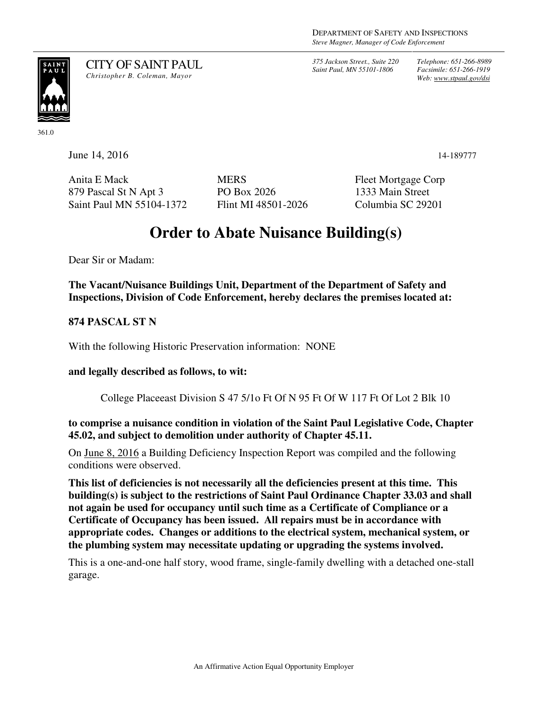*375 Jackson Street., Suite 220 Saint Paul, MN 55101-1806*

*Telephone: 651-266-8989 Facsimile: 651-266-1919 Web: www.stpaul.gov/dsi*



CITY OF SAINT PAUL *Christopher B. Coleman, Mayor* 

361.0

**June 14, 2016** 14-189777

Anita E Mack 879 Pascal St N Apt 3 Saint Paul MN 55104-1372 **MERS** PO Box 2026 Flint MI 48501-2026 Fleet Mortgage Corp 1333 Main Street Columbia SC 29201

## **Order to Abate Nuisance Building(s)**

Dear Sir or Madam:

**The Vacant/Nuisance Buildings Unit, Department of the Department of Safety and Inspections, Division of Code Enforcement, hereby declares the premises located at:** 

**874 PASCAL ST N** 

With the following Historic Preservation information: NONE

**and legally described as follows, to wit:** 

College Placeeast Division S 47 5/1o Ft Of N 95 Ft Of W 117 Ft Of Lot 2 Blk 10

**to comprise a nuisance condition in violation of the Saint Paul Legislative Code, Chapter 45.02, and subject to demolition under authority of Chapter 45.11.** 

On June 8, 2016 a Building Deficiency Inspection Report was compiled and the following conditions were observed.

**This list of deficiencies is not necessarily all the deficiencies present at this time. This building(s) is subject to the restrictions of Saint Paul Ordinance Chapter 33.03 and shall not again be used for occupancy until such time as a Certificate of Compliance or a Certificate of Occupancy has been issued. All repairs must be in accordance with appropriate codes. Changes or additions to the electrical system, mechanical system, or the plumbing system may necessitate updating or upgrading the systems involved.** 

This is a one-and-one half story, wood frame, single-family dwelling with a detached one-stall garage.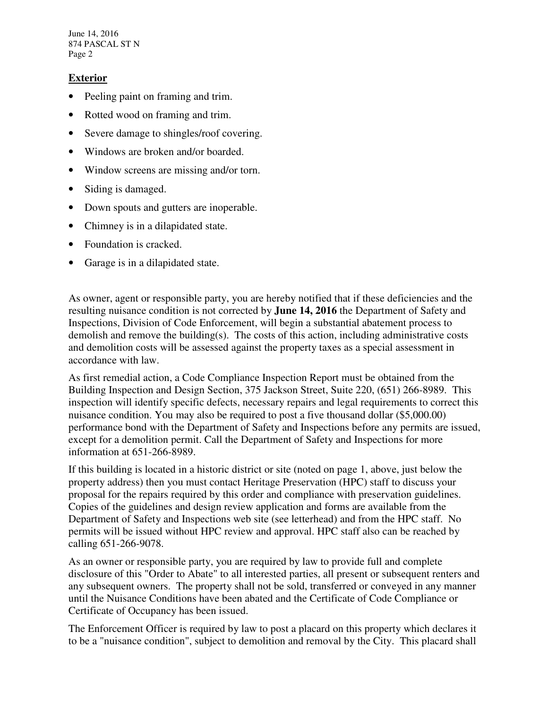June 14, 2016 874 PASCAL ST N Page 2

## **Exterior**

- Peeling paint on framing and trim.
- Rotted wood on framing and trim.
- Severe damage to shingles/roof covering.
- Windows are broken and/or boarded.
- Window screens are missing and/or torn.
- Siding is damaged.
- Down spouts and gutters are inoperable.
- Chimney is in a dilapidated state.
- Foundation is cracked.
- Garage is in a dilapidated state.

As owner, agent or responsible party, you are hereby notified that if these deficiencies and the resulting nuisance condition is not corrected by **June 14, 2016** the Department of Safety and Inspections, Division of Code Enforcement, will begin a substantial abatement process to demolish and remove the building(s). The costs of this action, including administrative costs and demolition costs will be assessed against the property taxes as a special assessment in accordance with law.

As first remedial action, a Code Compliance Inspection Report must be obtained from the Building Inspection and Design Section, 375 Jackson Street, Suite 220, (651) 266-8989. This inspection will identify specific defects, necessary repairs and legal requirements to correct this nuisance condition. You may also be required to post a five thousand dollar (\$5,000.00) performance bond with the Department of Safety and Inspections before any permits are issued, except for a demolition permit. Call the Department of Safety and Inspections for more information at 651-266-8989.

If this building is located in a historic district or site (noted on page 1, above, just below the property address) then you must contact Heritage Preservation (HPC) staff to discuss your proposal for the repairs required by this order and compliance with preservation guidelines. Copies of the guidelines and design review application and forms are available from the Department of Safety and Inspections web site (see letterhead) and from the HPC staff. No permits will be issued without HPC review and approval. HPC staff also can be reached by calling 651-266-9078.

As an owner or responsible party, you are required by law to provide full and complete disclosure of this "Order to Abate" to all interested parties, all present or subsequent renters and any subsequent owners. The property shall not be sold, transferred or conveyed in any manner until the Nuisance Conditions have been abated and the Certificate of Code Compliance or Certificate of Occupancy has been issued.

The Enforcement Officer is required by law to post a placard on this property which declares it to be a "nuisance condition", subject to demolition and removal by the City. This placard shall